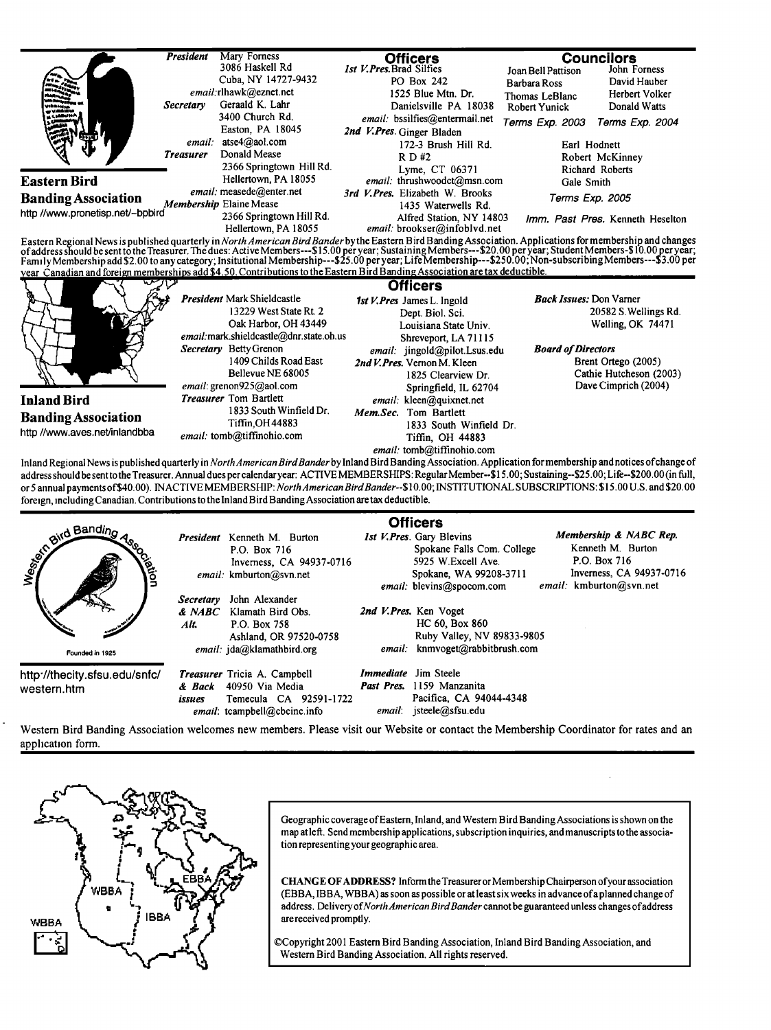|                                  | <b>President</b> | Mary Forness                                     | <b>Officers</b>                                                                                                                                                                                                                                                                                                                                                                                                                                                                                                                |                                | <b>Councilors</b>                |  |  |  |
|----------------------------------|------------------|--------------------------------------------------|--------------------------------------------------------------------------------------------------------------------------------------------------------------------------------------------------------------------------------------------------------------------------------------------------------------------------------------------------------------------------------------------------------------------------------------------------------------------------------------------------------------------------------|--------------------------------|----------------------------------|--|--|--|
|                                  |                  | 3086 Haskell Rd                                  | <b>Ist V.Pres.Brad Silfies</b>                                                                                                                                                                                                                                                                                                                                                                                                                                                                                                 | Joan Bell Pattison             | John Forness                     |  |  |  |
|                                  |                  | Cuba, NY 14727-9432                              | PO Box 242                                                                                                                                                                                                                                                                                                                                                                                                                                                                                                                     | <b>Barbara Ross</b>            | David Hauber                     |  |  |  |
|                                  |                  | email:rlhawk@eznet.net                           | 1525 Blue Mtn. Dr.                                                                                                                                                                                                                                                                                                                                                                                                                                                                                                             | Thomas LeBlanc                 | Herbert Volker                   |  |  |  |
|                                  | Secretary        | Geraald K. Lahr                                  | Danielsville PA 18038                                                                                                                                                                                                                                                                                                                                                                                                                                                                                                          | <b>Robert Yunick</b>           | Donald Watts                     |  |  |  |
|                                  |                  | 3400 Church Rd.                                  | email: bssilfies@entermail.net                                                                                                                                                                                                                                                                                                                                                                                                                                                                                                 | Terms Exp. 2003                | Terms Exp. 2004                  |  |  |  |
|                                  |                  | Easton, PA 18045                                 | 2nd V.Pres Ginger Bladen                                                                                                                                                                                                                                                                                                                                                                                                                                                                                                       |                                |                                  |  |  |  |
|                                  | email:           | atse4@aol.com                                    | 172-3 Brush Hill Rd.                                                                                                                                                                                                                                                                                                                                                                                                                                                                                                           | Earl Hodnett                   |                                  |  |  |  |
|                                  | <b>Treasurer</b> | Donald Mease                                     | R D H2                                                                                                                                                                                                                                                                                                                                                                                                                                                                                                                         |                                | Robert McKinney                  |  |  |  |
|                                  |                  | 2366 Springtown Hill Rd.                         | Lyme, CT 06371                                                                                                                                                                                                                                                                                                                                                                                                                                                                                                                 |                                | Richard Roberts                  |  |  |  |
| <b>Eastern Bird</b>              |                  | Hellertown, PA 18055                             | email: thrushwoodct@msn.com                                                                                                                                                                                                                                                                                                                                                                                                                                                                                                    | Gale Smith                     |                                  |  |  |  |
| <b>Banding Association</b>       |                  | email: measede@enter.net                         | 3rd V. Pres. Elizabeth W. Brooks                                                                                                                                                                                                                                                                                                                                                                                                                                                                                               | Terms Exp. 2005                |                                  |  |  |  |
| http //www.pronetisp.net/~bpbird |                  | Membership Elaine Mease                          | 1435 Waterwells Rd.                                                                                                                                                                                                                                                                                                                                                                                                                                                                                                            |                                |                                  |  |  |  |
|                                  |                  | 2366 Springtown Hill Rd.<br>Hellertown, PA 18055 | Alfred Station, NY 14803<br>email: brookser@infoblvd.net                                                                                                                                                                                                                                                                                                                                                                                                                                                                       |                                | Imm. Past Pres. Kenneth Heselton |  |  |  |
|                                  |                  |                                                  | Eastern Regional News is published quarterly in North American Bird Bander by the Eastern Bird Banding Association. Applications for membership and changes<br>of address should be sent to the Treasurer. The dues: Active Membe<br>Family Membership add \$2.00 to any category; Insitutional Membership---\$25.00 per year; Life Membership---\$250.00; Non-subscribing Members---\$3.00 per<br>year Canadian and foreign memberships add \$4.50. Contributions to the Eastern Bird Banding Association are tax deductible. |                                |                                  |  |  |  |
|                                  |                  |                                                  | <b>Officers</b>                                                                                                                                                                                                                                                                                                                                                                                                                                                                                                                |                                |                                  |  |  |  |
|                                  |                  | <b>President Mark Shieldcastle</b>               | 1st V. Pres James L. Ingold                                                                                                                                                                                                                                                                                                                                                                                                                                                                                                    | <b>Back Issues: Don Varner</b> |                                  |  |  |  |
|                                  |                  | 13229 West State Rt. 2                           | Dept. Biol. Sci.                                                                                                                                                                                                                                                                                                                                                                                                                                                                                                               |                                | 20582 S. Wellings Rd.            |  |  |  |
|                                  |                  | Oak Harbor, OH 43449                             | Louisiana State Univ.                                                                                                                                                                                                                                                                                                                                                                                                                                                                                                          |                                | Welling, OK 74471                |  |  |  |
|                                  |                  | email: mark.shieldcastle@dnr.state.oh.us         | Shreveport, LA 71115                                                                                                                                                                                                                                                                                                                                                                                                                                                                                                           |                                |                                  |  |  |  |
|                                  |                  | Secretary Betty Grenon                           | email: jingold@pilot.Lsus.edu                                                                                                                                                                                                                                                                                                                                                                                                                                                                                                  | <b>Board of Directors</b>      |                                  |  |  |  |
|                                  |                  | 1409 Childs Road East                            | 2nd V. Pres. Vernon M. Kleen                                                                                                                                                                                                                                                                                                                                                                                                                                                                                                   |                                | Brent Ortego (2005)              |  |  |  |
|                                  |                  | Bellevue NE 68005                                | 1825 Clearview Dr.                                                                                                                                                                                                                                                                                                                                                                                                                                                                                                             |                                | Cathie Hutcheson (2003)          |  |  |  |
|                                  |                  | email: grenon925@aol.com                         | Springfield, IL 62704                                                                                                                                                                                                                                                                                                                                                                                                                                                                                                          |                                | Dave Cimprich (2004)             |  |  |  |
| <b>Inland Bird</b>               |                  | <b>Treasurer</b> Tom Bartlett                    | email: kleen@quixnet.net                                                                                                                                                                                                                                                                                                                                                                                                                                                                                                       |                                |                                  |  |  |  |
| <b>Banding Association</b>       |                  | 1833 South Winfield Dr.<br>Tiffin, OH 44883      | Mem.Sec. Tom Bartlett                                                                                                                                                                                                                                                                                                                                                                                                                                                                                                          |                                |                                  |  |  |  |
| http //www.aves.net/inlandbba    |                  |                                                  | 1833 South Winfield Dr.                                                                                                                                                                                                                                                                                                                                                                                                                                                                                                        |                                |                                  |  |  |  |
|                                  |                  | email: tomb@tiffinohio.com<br>Tiffin. OH 44883   |                                                                                                                                                                                                                                                                                                                                                                                                                                                                                                                                |                                |                                  |  |  |  |
|                                  |                  |                                                  | email: tomb@tiffinohio.com                                                                                                                                                                                                                                                                                                                                                                                                                                                                                                     |                                |                                  |  |  |  |
|                                  |                  |                                                  | Inland Regional News is published quarterly in North American Bird Bander by Inland Bird Banding Association. Application for membership and notices of change of<br>address should be sent to the Treasurer. Annual dues per calendar year: ACTIVE MEMBERSHIPS: Regular Member-\$15.00; Sustaining-\$25.00; Life-\$200.00 (in full,                                                                                                                                                                                           |                                |                                  |  |  |  |
|                                  |                  |                                                  | or 5 annual payments of \$40.00). INACTIVE MEMBERSHIP: North American Bird Bander--\$10.00; INSTITUTIONAL SUBSCRIPTIONS: \$15.00 U.S. and \$20.00                                                                                                                                                                                                                                                                                                                                                                              |                                |                                  |  |  |  |
|                                  |                  |                                                  |                                                                                                                                                                                                                                                                                                                                                                                                                                                                                                                                |                                |                                  |  |  |  |

| all Banding<br><b>Cotion</b><br>Founded in 1925 |                             | President Kenneth M. Burton<br>P.O. Box 716<br>Inverness, CA 94937-0716<br>email: kmburton@svn.net          |                             | <b>Officers</b><br>1st V. Pres. Gary Blevins<br>Spokane Falls Com. College<br>5925 W.Excell Ave.<br>Spokane, WA 99208-3711<br>email: blevins@spocom.com | Membership & NABC Rep.<br>Kenneth M. Burton<br>P.O. Box 716<br>Inverness, CA 94937-0716<br>email: kmburton@svn.net |
|-------------------------------------------------|-----------------------------|-------------------------------------------------------------------------------------------------------------|-----------------------------|---------------------------------------------------------------------------------------------------------------------------------------------------------|--------------------------------------------------------------------------------------------------------------------|
|                                                 | Secretary<br>& NABC<br>Alt. | John Alexander<br>Klamath Bird Obs.<br>P.O. Box 758<br>Ashland, OR 97520-0758<br>email: jda@klamathbird.org |                             | 2nd V. Pres. Ken Voget<br>HC 60, Box 860<br>Ruby Valley, NV 89833-9805<br>email: knmvoget@rabbitbrush.com                                               |                                                                                                                    |
| http://thecity.sfsu.edu/snfc/<br>western.htm    | & Back<br>issues            | Treasurer Tricia A. Campbell<br>40950 Via Media<br>Temecula CA 92591-1722<br>email: tcampbell@cbcinc.info   | <i>Immediate</i> Jim Steele | Past Pres. 1159 Manzanita<br>Pacifica, CA 94044-4348<br>email: jsteele@sfsu.edu                                                                         |                                                                                                                    |

**foreign, •ncluding Canadian. Contributions to the Inland Bird Banding Association are tax deductible.** 

**Western Bird Banding Association welcomes new members. Please visit our Website or contacthe Membership Coordinator for rates and an**  application form.



Geographic coverage of Eastern, Inland, and Western Bird Banding Associations is shown on the **map atlefi. Send membership applications, subscription inquiries, andmanuscripts tothe association representing yourgeographic area.** 

**CHANGE OFADDRESS? Informthe Treasurer or Membership Chairperson ofyour association (EBBA, IBBA, WBBA) as soon as possible or at least six weeks in advance of a planned change of address. Delivery of North American BirdBander cannot be guaranteed unless changes of address are received prompfiy.** 

**¸Copyright 2001 Eastem Bird Banding Association, Inland Bird Banding Association, and Westem Bird Banding Association. All rights reserved.**